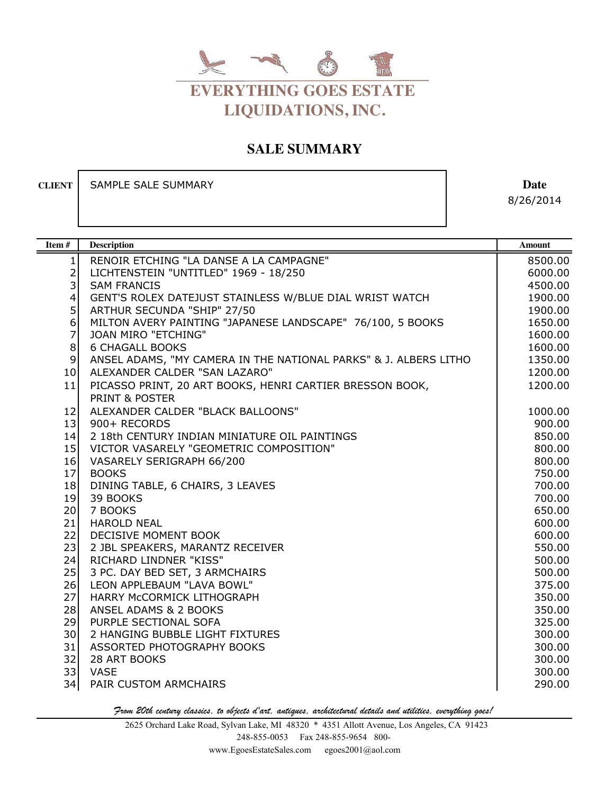

## **SALE SUMMARY**

**CLIENT** SAMPLE SALE SUMMARY **Date** 

8/26/2014

| Item#          | <b>Description</b>                                               | <b>Amount</b>    |
|----------------|------------------------------------------------------------------|------------------|
| $\mathbf{1}$   | RENOIR ETCHING "LA DANSE A LA CAMPAGNE"                          | 8500.00          |
| $\frac{2}{3}$  | LICHTENSTEIN "UNTITLED" 1969 - 18/250                            | 6000.00          |
|                | <b>SAM FRANCIS</b>                                               | 4500.00          |
| $\overline{4}$ | GENT'S ROLEX DATEJUST STAINLESS W/BLUE DIAL WRIST WATCH          | 1900.00          |
| 5              | ARTHUR SECUNDA "SHIP" 27/50                                      | 1900.00          |
| 6              | MILTON AVERY PAINTING "JAPANESE LANDSCAPE" 76/100, 5 BOOKS       | 1650.00          |
| $\overline{7}$ | <b>JOAN MIRO "ETCHING"</b>                                       | 1600.00          |
| $\,8\,$        | <b>6 CHAGALL BOOKS</b>                                           | 1600.00          |
| $\mathsf 9$    | ANSEL ADAMS, "MY CAMERA IN THE NATIONAL PARKS" & J. ALBERS LITHO | 1350.00          |
| 10             | ALEXANDER CALDER "SAN LAZARO"                                    | 1200.00          |
| 11             | PICASSO PRINT, 20 ART BOOKS, HENRI CARTIER BRESSON BOOK,         | 1200.00          |
|                | <b>PRINT &amp; POSTER</b>                                        |                  |
| 12             | ALEXANDER CALDER "BLACK BALLOONS"                                | 1000.00          |
| 13             | 900+ RECORDS                                                     | 900.00           |
| 14             | 2 18th CENTURY INDIAN MINIATURE OIL PAINTINGS                    | 850.00           |
| 15             | VICTOR VASARELY "GEOMETRIC COMPOSITION"                          | 800.00           |
| 16             | VASARELY SERIGRAPH 66/200                                        | 800.00           |
| 17             | <b>BOOKS</b>                                                     | 750.00           |
| 18             | DINING TABLE, 6 CHAIRS, 3 LEAVES                                 | 700.00           |
| 19             | 39 BOOKS                                                         | 700.00           |
| 20             | 7 BOOKS                                                          | 650.00           |
| 21             | <b>HAROLD NEAL</b>                                               | 600.00           |
| 22             | DECISIVE MOMENT BOOK                                             | 600.00           |
| 23             | 2 JBL SPEAKERS, MARANTZ RECEIVER                                 | 550.00           |
| 24             | RICHARD LINDNER "KISS"                                           | 500.00           |
| 25             | 3 PC. DAY BED SET, 3 ARMCHAIRS                                   | 500.00           |
| 26             | LEON APPLEBAUM "LAVA BOWL"                                       | 375.00           |
| 27             | HARRY MCCORMICK LITHOGRAPH                                       | 350.00           |
| 28             | ANSEL ADAMS & 2 BOOKS                                            | 350.00           |
| 29             | PURPLE SECTIONAL SOFA                                            | 325.00           |
| 30             | 2 HANGING BUBBLE LIGHT FIXTURES                                  | 300.00           |
| 31             | ASSORTED PHOTOGRAPHY BOOKS                                       | 300.00           |
| 32<br>33       | 28 ART BOOKS<br><b>VASE</b>                                      | 300.00           |
| 34             | PAIR CUSTOM ARMCHAIRS                                            | 300.00<br>290.00 |
|                |                                                                  |                  |

From 20th century classics, to objects d'art, antiques, architectural details and utilities, everything goes!